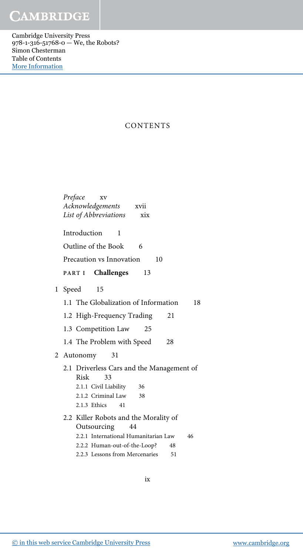Cambridge University Press 978-1-316-51768-0 — We, the Robots? Simon Chesterman Table of Contents [More Information](www.cambridge.org/9781316517680)

#### CONTENTS

|              | Preface<br>XV<br>Acknowledgements xvii<br>List of Abbreviations<br>xix |
|--------------|------------------------------------------------------------------------|
|              | Introduction<br>1                                                      |
|              | Outline of the Book<br>- 6                                             |
|              | Precaution vs Innovation<br>10                                         |
|              | PART I Challenges<br>13                                                |
| $\mathbf{1}$ | Speed<br>15                                                            |
|              | 1.1 The Globalization of Information<br>18                             |
|              | 1.2 High-Frequency Trading<br>21                                       |
|              | 1.3 Competition Law<br>25                                              |
|              | 1.4 The Problem with Speed<br>28                                       |
|              | 2 Autonomy<br>31                                                       |
|              | 2.1 Driverless Cars and the Management of<br>Risk<br>33                |
|              | 2.1.1 Civil Liability<br>36                                            |
|              | 2.1.2 Criminal Law<br>38                                               |
|              | 2.1.3 Ethics<br>41                                                     |
|              | 2.2 Killer Robots and the Morality of                                  |
|              | Outsourcing<br>44                                                      |
|              | 2.2.1 International Humanitarian Law<br>46                             |
|              | 2.2.2 Human-out-of-the-Loop?<br>48                                     |
|              | 2.2.3 Lessons from Mercenaries<br>51                                   |

ix

[© in this web service Cambridge University Press](www.cambridge.org) www.cambridge.org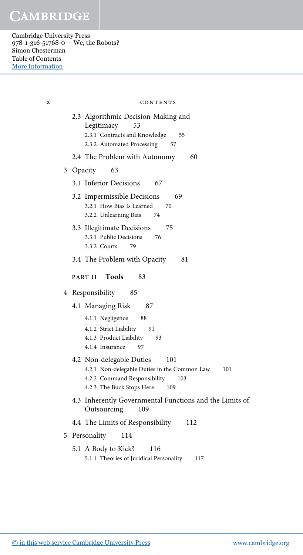Cambridge University Press 978-1-316-51768-0 — We, the Robots? Simon Chesterman Table of Contents [More Information](www.cambridge.org/9781316517680)

> 2.3 Algorithmic Decision-Making and Legitimacy 53 2.3.1 Contracts and Knowledge 55 2.3.2 Automated Processing 57 2.4 The Problem with Autonomy 60 3 Opacity 63 3.1 Inferior Decisions 67 3.2 Impermissible Decisions 69 3.2.1 How Bias Is Learned 70 3.2.2 Unlearning Bias 74 3.3 Illegitimate Decisions 75 3.3.1 Public Decisions 76 3.3.2 Courts 79 3.4 The Problem with Opacity 81 PART II Tools 83 4 Responsibility 85 4.1 Managing Risk 87 4.1.1 Negligence 88 4.1.2 Strict Liability 91 4.1.3 Product Liability 93 4.1.4 Insurance 97 4.2 Non-delegable Duties 101 4.2.1 Non-delegable Duties in the Common Law 101 4.2.2 Command Responsibility 103 4.2.3 The Buck Stops Here 109 4.3 Inherently Governmental Functions and the Limits of Outsourcing 109 4.4 The Limits of Responsibility 112 5 Personality 114 5.1 A Body to Kick? 116 5.1.1 Theories of Juridical Personality 117 x contents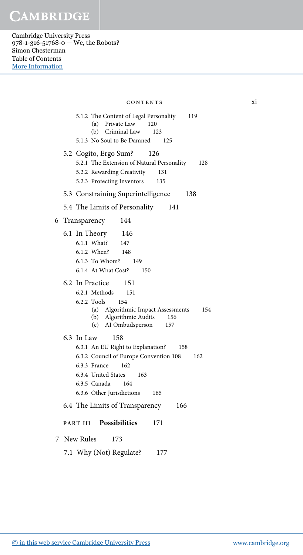Cambridge University Press 978-1-316-51768-0 — We, the Robots? Simon Chesterman Table of Contents [More Information](www.cambridge.org/9781316517680)

> 5.1.2 The Content of Legal Personality 119 (a) Private Law 120 (b) Criminal Law 123 5.1.3 No Soul to Be Damned 125 5.2 Cogito, Ergo Sum? 126 5.2.1 The Extension of Natural Personality 128 5.2.2 Rewarding Creativity 131 5.2.3 Protecting Inventors 135 5.3 Constraining Superintelligence 138 5.4 The Limits of Personality 141 6 Transparency 144 6.1 In Theory 146 6.1.1 What? 147 6.1.2 When? 148 6.1.3 To Whom? 149 6.1.4 At What Cost? 150 6.2 In Practice 151 6.2.1 Methods 151 6.2.2 Tools 154 (a) Algorithmic Impact Assessments 154 (b) Algorithmic Audits 156 (c) AI Ombudsperson 157 6.3 In Law 158 6.3.1 An EU Right to Explanation? 158 6.3.2 Council of Europe Convention 108 162 6.3.3 France 162 6.3.4 United States 163 6.3.5 Canada 164 6.3.6 Other Jurisdictions 165 6.4 The Limits of Transparency 166 PART III Possibilities 171 7 New Rules 173 7.1 Why (Not) Regulate? 177 contents xi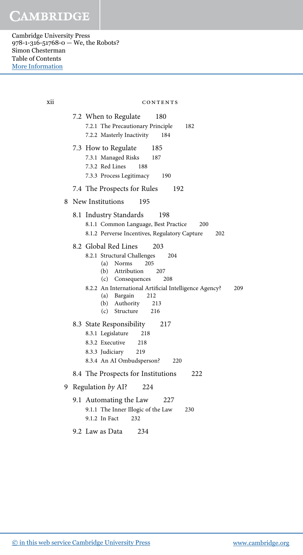Cambridge University Press 978-1-316-51768-0 — We, the Robots? Simon Chesterman Table of Contents [More Information](www.cambridge.org/9781316517680)

> 7.2 When to Regulate 180 7.2.1 The Precautionary Principle 182 7.2.2 Masterly Inactivity 184 7.3 How to Regulate 185 7.3.1 Managed Risks 187 7.3.2 Red Lines 188 7.3.3 Process Legitimacy 190 7.4 The Prospects for Rules 192 8 New Institutions 195 8.1 Industry Standards 198 8.1.1 Common Language, Best Practice 200 8.1.2 Perverse Incentives, Regulatory Capture 202 8.2 Global Red Lines 203 8.2.1 Structural Challenges 204 (a) Norms 205 (b) Attribution 207 (c) Consequences 208 8.2.2 An International Artificial Intelligence Agency? 209 (a) Bargain 212 (b) Authority 213 (c) Structure 216 8.3 State Responsibility 217 8.3.1 Legislature 218 8.3.2 Executive 218 8.3.3 Judiciary 219 8.3.4 An AI Ombudsperson? 220 8.4 The Prospects for Institutions 222 9 Regulation by AI? 224 9.1 Automating the Law 227 9.1.1 The Inner Illogic of the Law 230 9.1.2 In Fact 232 9.2 Law as Data 234 xii contents